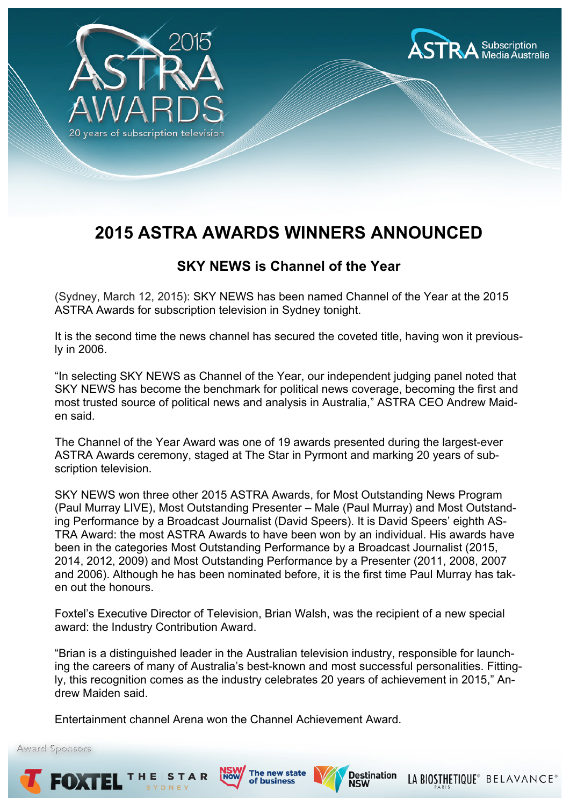



# **2015 ASTRA AWARDS WINNERS ANNOUNCED**

## **SKY NEWS is Channel of the Year**

(Sydney, March 12, 2015): SKY NEWS has been named Channel of the Year at the 2015 ASTRA Awards for subscription television in Sydney tonight.

It is the second time the news channel has secured the coveted title, having won it previously in 2006.

"In selecting SKY NEWS as Channel of the Year, our independent judging panel noted that SKY NEWS has become the benchmark for political news coverage, becoming the first and most trusted source of political news and analysis in Australia," ASTRA CEO Andrew Maiden said.

The Channel of the Year Award was one of 19 awards presented during the largest-ever ASTRA Awards ceremony, staged at The Star in Pyrmont and marking 20 years of subscription television.

SKY NEWS won three other 2015 ASTRA Awards, for Most Outstanding News Program (Paul Murray LIVE), Most Outstanding Presenter – Male (Paul Murray) and Most Outstanding Performance by a Broadcast Journalist (David Speers). It is David Speers' eighth AS-TRA Award: the most ASTRA Awards to have been won by an individual. His awards have been in the categories Most Outstanding Performance by a Broadcast Journalist (2015, 2014, 2012, 2009) and Most Outstanding Performance by a Presenter (2011, 2008, 2007 and 2006). Although he has been nominated before, it is the first time Paul Murray has taken out the honours.

Foxtel's Executive Director of Television, Brian Walsh, was the recipient of a new special award: the Industry Contribution Award.

"Brian is a distinguished leader in the Australian television industry, responsible for launching the careers of many of Australia's best-known and most successful personalities. Fittingly, this recognition comes as the industry celebrates 20 years of achievement in 2015," Andrew Maiden said.

Entertainment channel Arena won the Channel Achievement Award.

Award Sponsors

EOXTE







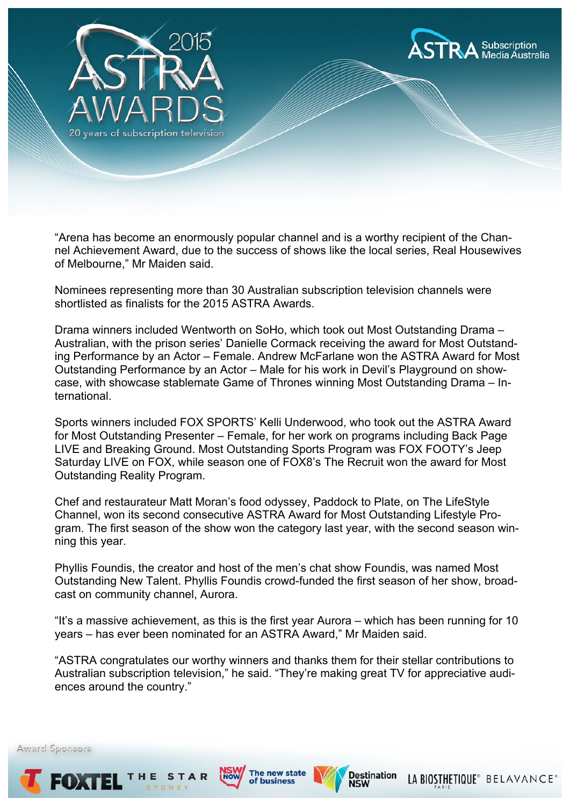

"Arena has become an enormously popular channel and is a worthy recipient of the Channel Achievement Award, due to the success of shows like the local series, Real Housewives of Melbourne," Mr Maiden said.

Nominees representing more than 30 Australian subscription television channels were shortlisted as finalists for the 2015 ASTRA Awards.

Drama winners included Wentworth on SoHo, which took out Most Outstanding Drama – Australian, with the prison series' Danielle Cormack receiving the award for Most Outstanding Performance by an Actor – Female. Andrew McFarlane won the ASTRA Award for Most Outstanding Performance by an Actor – Male for his work in Devil's Playground on showcase, with showcase stablemate Game of Thrones winning Most Outstanding Drama – International.

Sports winners included FOX SPORTS' Kelli Underwood, who took out the ASTRA Award for Most Outstanding Presenter – Female, for her work on programs including Back Page LIVE and Breaking Ground. Most Outstanding Sports Program was FOX FOOTY's Jeep Saturday LIVE on FOX, while season one of FOX8's The Recruit won the award for Most Outstanding Reality Program.

Chef and restaurateur Matt Moran's food odyssey, Paddock to Plate, on The LifeStyle Channel, won its second consecutive ASTRA Award for Most Outstanding Lifestyle Program. The first season of the show won the category last year, with the second season winning this year.

Phyllis Foundis, the creator and host of the men's chat show Foundis, was named Most Outstanding New Talent. Phyllis Foundis crowd-funded the first season of her show, broadcast on community channel, Aurora.

"It's a massive achievement, as this is the first year Aurora – which has been running for 10 years – has ever been nominated for an ASTRA Award," Mr Maiden said.

"ASTRA congratulates our worthy winners and thanks them for their stellar contributions to Australian subscription television," he said. "They're making great TV for appreciative audiences around the country."

EOGI







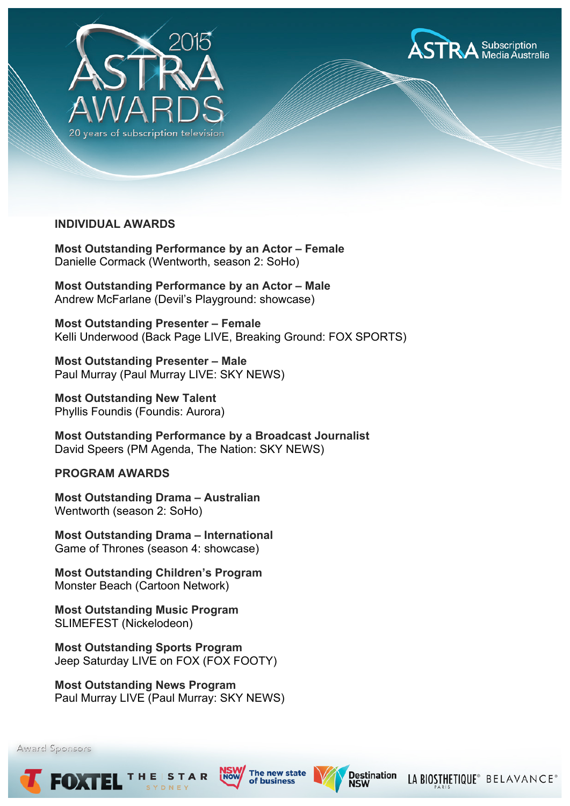



### **INDIVIDUAL AWARDS**

**Most Outstanding Performance by an Actor – Female** Danielle Cormack (Wentworth, season 2: SoHo)

**Most Outstanding Performance by an Actor – Male** Andrew McFarlane (Devil's Playground: showcase)

**Most Outstanding Presenter – Female** Kelli Underwood (Back Page LIVE, Breaking Ground: FOX SPORTS)

**Most Outstanding Presenter – Male** Paul Murray (Paul Murray LIVE: SKY NEWS)

**Most Outstanding New Talent** Phyllis Foundis (Foundis: Aurora)

**Most Outstanding Performance by a Broadcast Journalist** David Speers (PM Agenda, The Nation: SKY NEWS)

#### **PROGRAM AWARDS**

**Most Outstanding Drama – Australian** Wentworth (season 2: SoHo)

**Most Outstanding Drama – International** Game of Thrones (season 4: showcase)

**Most Outstanding Children's Program** Monster Beach (Cartoon Network)

**Most Outstanding Music Program** SLIMEFEST (Nickelodeon)

**Most Outstanding Sports Program** Jeep Saturday LIVE on FOX (FOX FOOTY)

**Most Outstanding News Program** Paul Murray LIVE (Paul Murray: SKY NEWS)

Award Sponsors

FOXTE